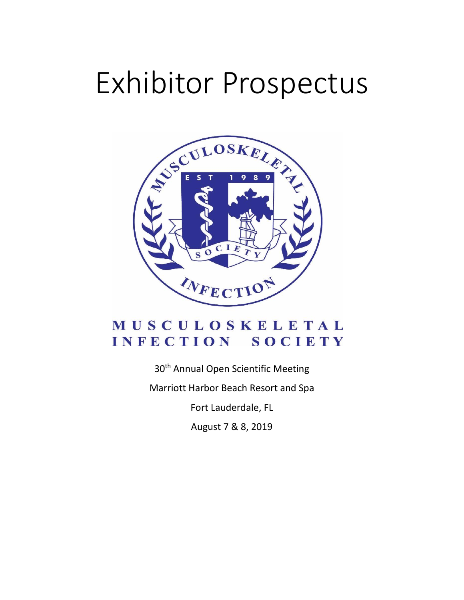# Exhibitor Prospectus



# MUSCULOSKELETAL INFECTION SOCIETY

30<sup>th</sup> Annual Open Scientific Meeting

Marriott Harbor Beach Resort and Spa

Fort Lauderdale, FL

August 7 & 8, 2019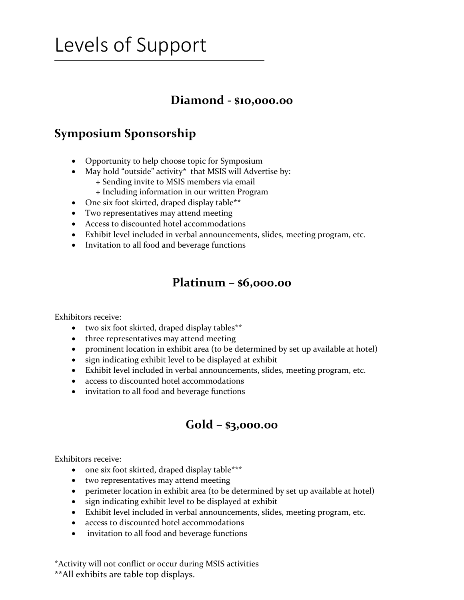# Levels of Support

#### **Diamond - \$10,000.00**

### **Symposium Sponsorship**

- Opportunity to help choose topic for Symposium
- May hold "outside" activity\* that MSIS will Advertise by: + Sending invite to MSIS members via email
	- + Including information in our written Program
- One six foot skirted, draped display table\*\*
- Two representatives may attend meeting
- Access to discounted hotel accommodations
- Exhibit level included in verbal announcements, slides, meeting program, etc.
- Invitation to all food and beverage functions

#### **Platinum** – **\$6,000.00**

Exhibitors receive:

- two six foot skirted, draped display tables\*\*
- three representatives may attend meeting
- prominent location in exhibit area (to be determined by set up available at hotel)
- sign indicating exhibit level to be displayed at exhibit
- Exhibit level included in verbal announcements, slides, meeting program, etc.
- access to discounted hotel accommodations
- invitation to all food and beverage functions

#### **Gold** – **\$3,000.00**

Exhibitors receive:

- one six foot skirted, draped display table\*\*\*
- two representatives may attend meeting
- perimeter location in exhibit area (to be determined by set up available at hotel)
- sign indicating exhibit level to be displayed at exhibit
- Exhibit level included in verbal announcements, slides, meeting program, etc.
- access to discounted hotel accommodations
- invitation to all food and beverage functions

\*Activity will not conflict or occur during MSIS activities \*\*All exhibits are table top displays.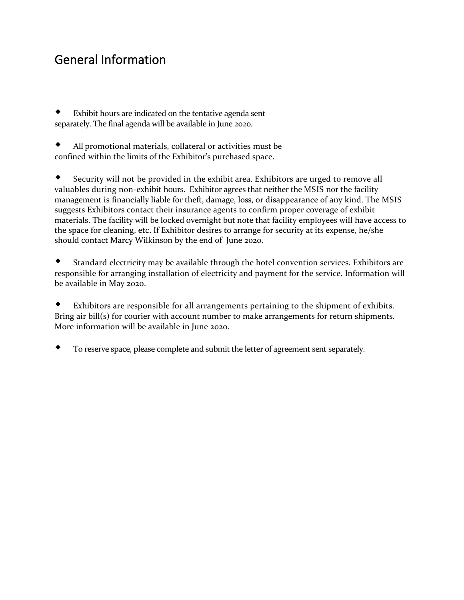## General Information

 Exhibit hours are indicated on the tentative agenda sent separately. The final agenda will be available in June 2020.

 All promotional materials, collateral or activities must be confined within the limits of the Exhibitor's purchased space.

 Security will not be provided in the exhibit area. Exhibitors are urged to remove all valuables during non-exhibit hours. Exhibitor agrees that neither the MSIS nor the facility management is financially liable for theft, damage, loss, or disappearance of any kind. The MSIS suggests Exhibitors contact their insurance agents to confirm proper coverage of exhibit materials. The facility will be locked overnight but note that facility employees will have access to the space for cleaning, etc. If Exhibitor desires to arrange for security at its expense, he/she should contact Marcy Wilkinson by the end of June 2020.

 Standard electricity may be available through the hotel convention services. Exhibitors are responsible for arranging installation of electricity and payment for the service. Information will be available in May 2020.

 Exhibitors are responsible for all arrangements pertaining to the shipment of exhibits. Bring air bill(s) for courier with account number to make arrangements for return shipments. More information will be available in June 2020.

To reserve space, please complete and submit the letter of agreement sent separately.